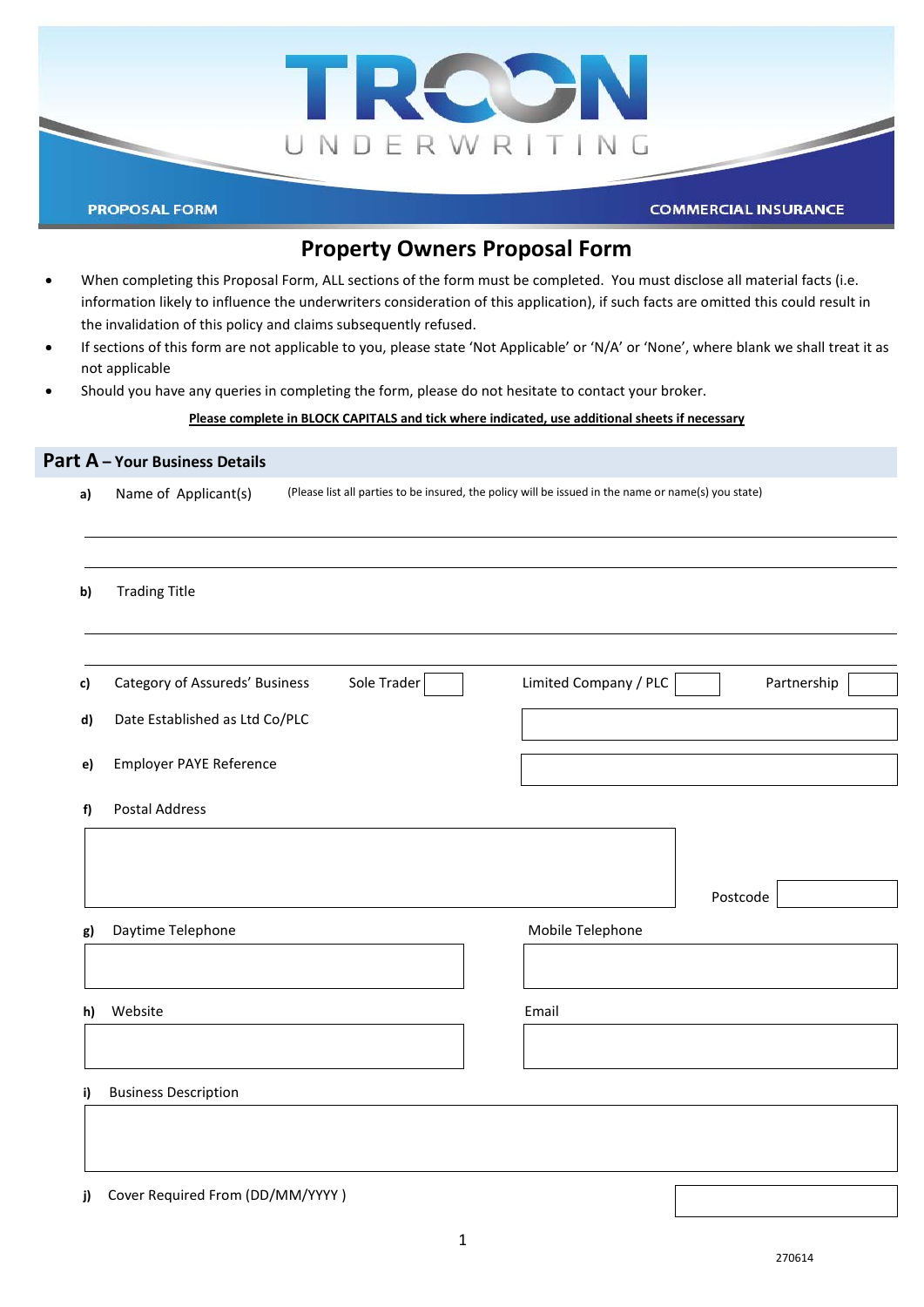

# **Property Owners Proposal Form**

- When completing this Proposal Form, ALL sections of the form must be completed. You must disclose all material facts (i.e. information likely to influence the underwriters consideration of this application), if such facts are omitted this could result in the invalidation of this policy and claims subsequently refused.
- If sections of this form are not applicable to you, please state 'Not Applicable' or 'N/A' or 'None', where blank we shall treat it as not applicable
- Should you have any queries in completing the form, please do not hesitate to contact your broker.

#### **Please complete in BLOCK CAPITALS and tick where indicated, use additional sheets if necessary**

# **Part A – Your Business Details a)** Name of Applicant(s) (Please list all parties to be insured, the policy will be issued in the name or name(s) you state) **b)** Trading Title **c)** Category of Assureds' Business Sole Trader **Limited Company / PLC Partnership d)** Date Established as Ltd Co/PLC **e)** Employer PAYE Reference **f)** Postal Address Postcode **g)** Daytime Telephone **Mobile Telephone** Mobile Telephone **h)** Website Email **i)** Business Description

**j)** Cover Required From (DD/MM/YYYY )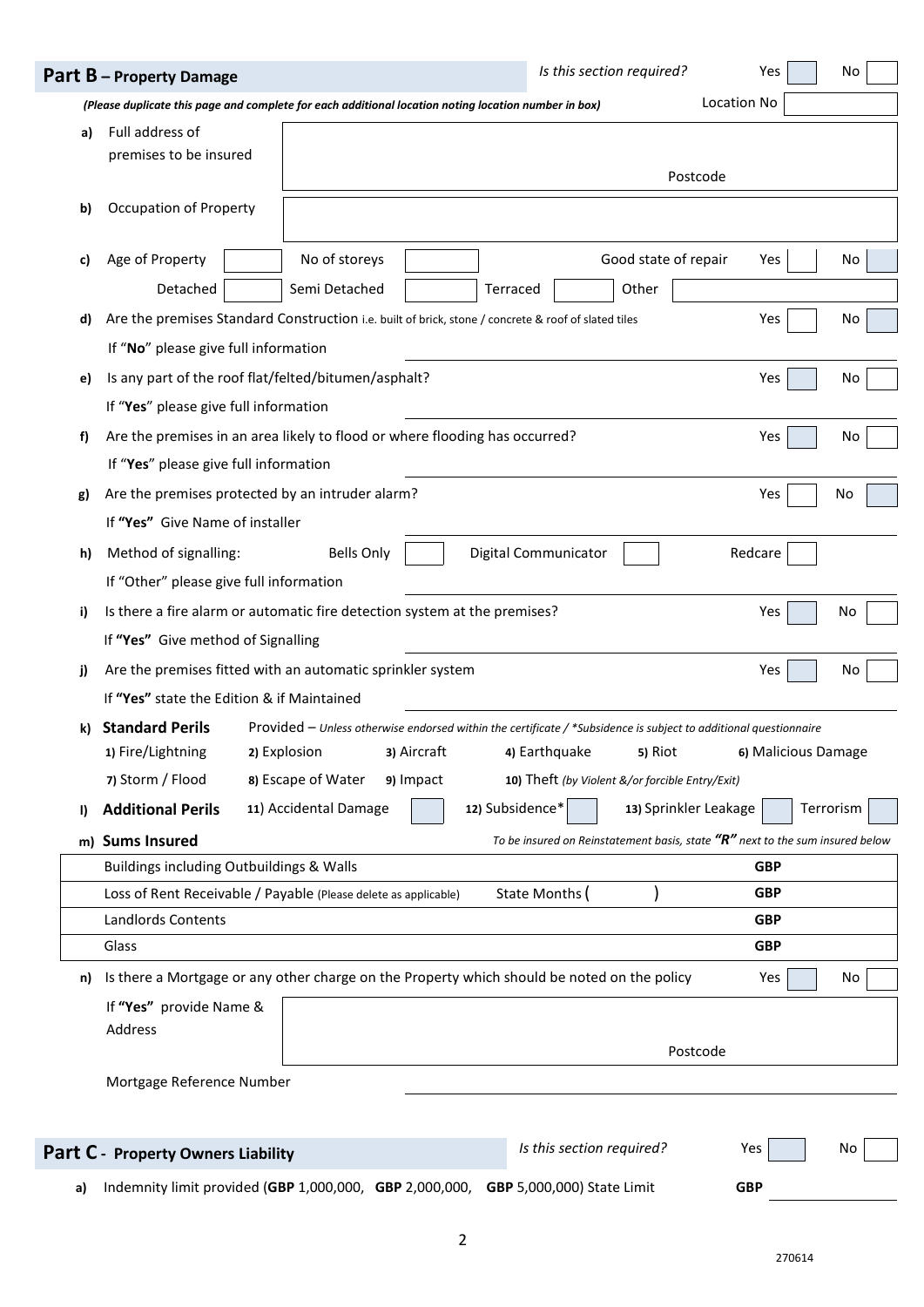|    | Part B - Property Damage                                         |                                                                                                                                                        |                          |                            | Is this section required?                                                       | Yes                 | No        |
|----|------------------------------------------------------------------|--------------------------------------------------------------------------------------------------------------------------------------------------------|--------------------------|----------------------------|---------------------------------------------------------------------------------|---------------------|-----------|
|    |                                                                  | (Please duplicate this page and complete for each additional location noting location number in box)                                                   |                          |                            |                                                                                 | Location No         |           |
| a) | Full address of<br>premises to be insured                        |                                                                                                                                                        |                          |                            | Postcode                                                                        |                     |           |
| b) | <b>Occupation of Property</b>                                    |                                                                                                                                                        |                          |                            |                                                                                 |                     |           |
| c) | Age of Property<br>Detached                                      | No of storeys<br>Semi Detached                                                                                                                         |                          | Terraced                   | Good state of repair<br>Other                                                   | Yes                 | No        |
| d) | If "No" please give full information                             | Are the premises Standard Construction i.e. built of brick, stone / concrete & roof of slated tiles                                                    |                          |                            |                                                                                 | Yes                 | No        |
| e) | If "Yes" please give full information                            | Is any part of the roof flat/felted/bitumen/asphalt?                                                                                                   |                          |                            |                                                                                 | Yes                 | No        |
| f) | If "Yes" please give full information                            | Are the premises in an area likely to flood or where flooding has occurred?                                                                            |                          |                            |                                                                                 | Yes                 | No        |
| g) | If "Yes" Give Name of installer                                  | Are the premises protected by an intruder alarm?                                                                                                       |                          |                            |                                                                                 | Yes                 | No        |
| h) | Method of signalling:<br>If "Other" please give full information | <b>Bells Only</b>                                                                                                                                      |                          | Digital Communicator       |                                                                                 | Redcare             |           |
| i) | If "Yes" Give method of Signalling                               | Is there a fire alarm or automatic fire detection system at the premises?                                                                              |                          |                            |                                                                                 | Yes                 | No        |
| j) | If "Yes" state the Edition & if Maintained                       | Are the premises fitted with an automatic sprinkler system                                                                                             |                          |                            |                                                                                 | Yes                 | No        |
| k) | <b>Standard Perils</b><br>1) Fire/Lightning<br>7) Storm / Flood  | Provided - Unless otherwise endorsed within the certificate / *Subsidence is subject to additional questionnaire<br>2) Explosion<br>8) Escape of Water | 3) Aircraft<br>9) Impact | 4) Earthquake              | 5) Riot<br>10) Theft (by Violent &/or forcible Entry/Exit)                      | 6) Malicious Damage |           |
| I) | <b>Additional Perils</b>                                         | 11) Accidental Damage                                                                                                                                  |                          | 12) Subsidence*            | 13) Sprinkler Leakage                                                           |                     | Terrorism |
| m) | <b>Sums Insured</b>                                              |                                                                                                                                                        |                          |                            | To be insured on Reinstatement basis, state $"R"$ next to the sum insured below |                     |           |
|    | Buildings including Outbuildings & Walls                         |                                                                                                                                                        |                          |                            |                                                                                 | <b>GBP</b>          |           |
|    |                                                                  | Loss of Rent Receivable / Payable (Please delete as applicable)                                                                                        |                          | State Months (             |                                                                                 | <b>GBP</b>          |           |
|    | <b>Landlords Contents</b>                                        |                                                                                                                                                        |                          |                            |                                                                                 | <b>GBP</b>          |           |
|    | Glass                                                            |                                                                                                                                                        |                          |                            |                                                                                 | <b>GBP</b>          |           |
| n) | If "Yes" provide Name &<br>Address                               | Is there a Mortgage or any other charge on the Property which should be noted on the policy                                                            |                          |                            |                                                                                 | Yes                 | No        |
|    |                                                                  | Postcode                                                                                                                                               |                          |                            |                                                                                 |                     |           |
|    | Mortgage Reference Number                                        |                                                                                                                                                        |                          |                            |                                                                                 |                     |           |
|    | Part C - Property Owners Liability                               |                                                                                                                                                        |                          |                            | Is this section required?                                                       | Yes                 | No        |
| a) |                                                                  | Indemnity limit provided (GBP 1,000,000, GBP 2,000,000,                                                                                                |                          | GBP 5,000,000) State Limit |                                                                                 | <b>GBP</b>          |           |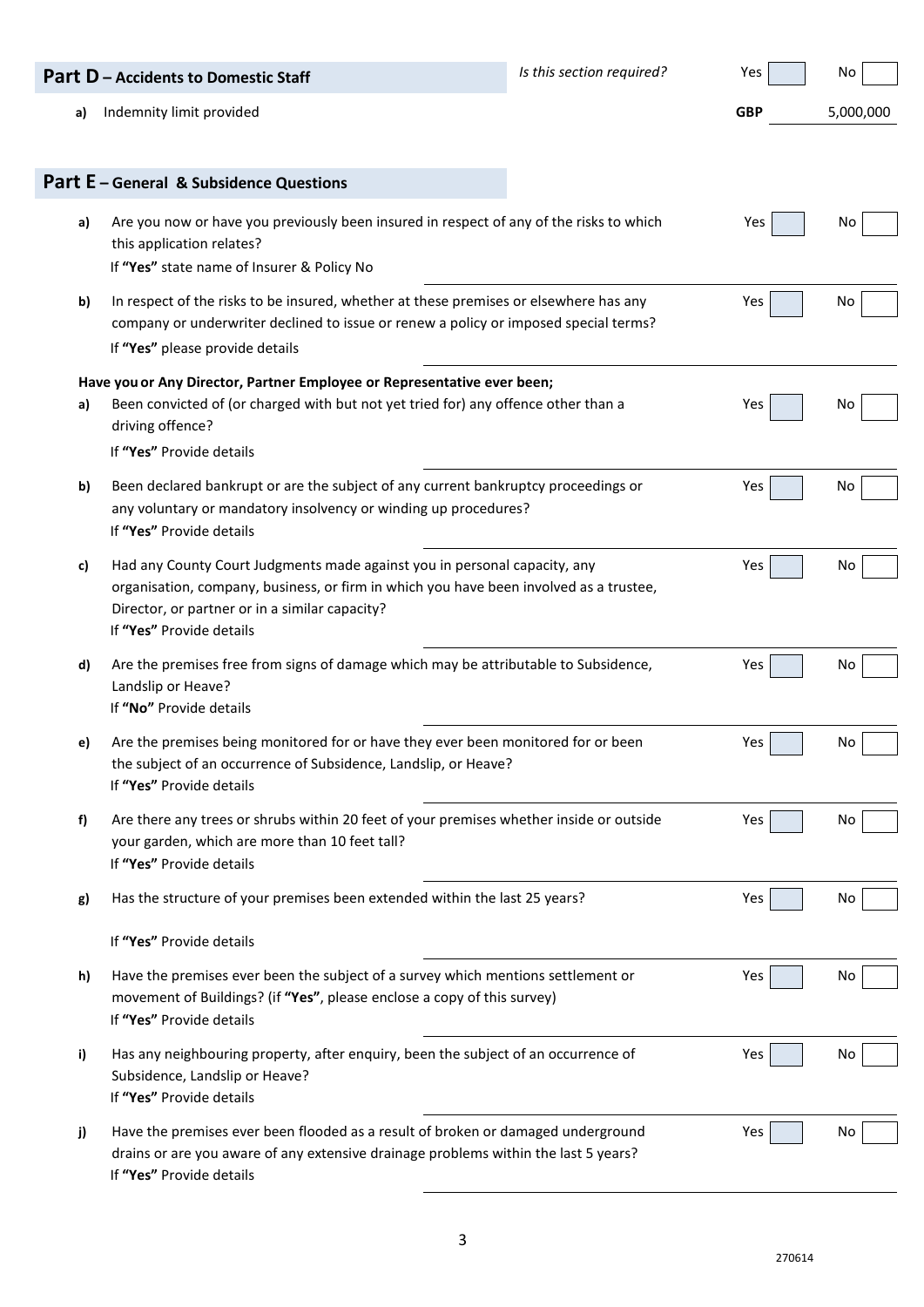|    | <b>Part D</b> – Accidents to Domestic Staff                                                                                                                                                                                                       | Is this section required? | Yes        | No        |
|----|---------------------------------------------------------------------------------------------------------------------------------------------------------------------------------------------------------------------------------------------------|---------------------------|------------|-----------|
| a) | Indemnity limit provided                                                                                                                                                                                                                          |                           | <b>GBP</b> | 5,000,000 |
|    | Part E - General & Subsidence Questions                                                                                                                                                                                                           |                           |            |           |
| a) | Are you now or have you previously been insured in respect of any of the risks to which<br>this application relates?<br>If "Yes" state name of Insurer & Policy No                                                                                |                           | Yes        | No        |
| b) | In respect of the risks to be insured, whether at these premises or elsewhere has any<br>company or underwriter declined to issue or renew a policy or imposed special terms?<br>If "Yes" please provide details                                  |                           | Yes        | No        |
|    | Have you or Any Director, Partner Employee or Representative ever been;                                                                                                                                                                           |                           |            |           |
| a) | Been convicted of (or charged with but not yet tried for) any offence other than a<br>driving offence?                                                                                                                                            |                           | Yes        | No        |
|    | If "Yes" Provide details                                                                                                                                                                                                                          |                           |            |           |
| b) | Been declared bankrupt or are the subject of any current bankruptcy proceedings or<br>any voluntary or mandatory insolvency or winding up procedures?<br>If "Yes" Provide details                                                                 |                           | Yes        | No        |
| c) | Had any County Court Judgments made against you in personal capacity, any<br>organisation, company, business, or firm in which you have been involved as a trustee,<br>Director, or partner or in a similar capacity?<br>If "Yes" Provide details |                           | Yes        | No        |
| d) | Are the premises free from signs of damage which may be attributable to Subsidence,<br>Landslip or Heave?<br>If "No" Provide details                                                                                                              |                           | Yes        | No        |
| e) | Are the premises being monitored for or have they ever been monitored for or been<br>the subject of an occurrence of Subsidence, Landslip, or Heave?<br>If "Yes" Provide details                                                                  |                           | Yes        | No.       |
| f) | Are there any trees or shrubs within 20 feet of your premises whether inside or outside<br>your garden, which are more than 10 feet tall?<br>If "Yes" Provide details                                                                             |                           | Yes        | No        |
| g) | Has the structure of your premises been extended within the last 25 years?                                                                                                                                                                        |                           | Yes        | No        |
|    | If "Yes" Provide details                                                                                                                                                                                                                          |                           |            |           |
| h) | Have the premises ever been the subject of a survey which mentions settlement or<br>movement of Buildings? (if "Yes", please enclose a copy of this survey)<br>If "Yes" Provide details                                                           |                           | Yes        | No        |
| i) | Has any neighbouring property, after enquiry, been the subject of an occurrence of<br>Subsidence, Landslip or Heave?<br>If "Yes" Provide details                                                                                                  |                           | Yes        | No        |
| j) | Have the premises ever been flooded as a result of broken or damaged underground<br>drains or are you aware of any extensive drainage problems within the last 5 years?<br>If "Yes" Provide details                                               |                           | Yes        | No        |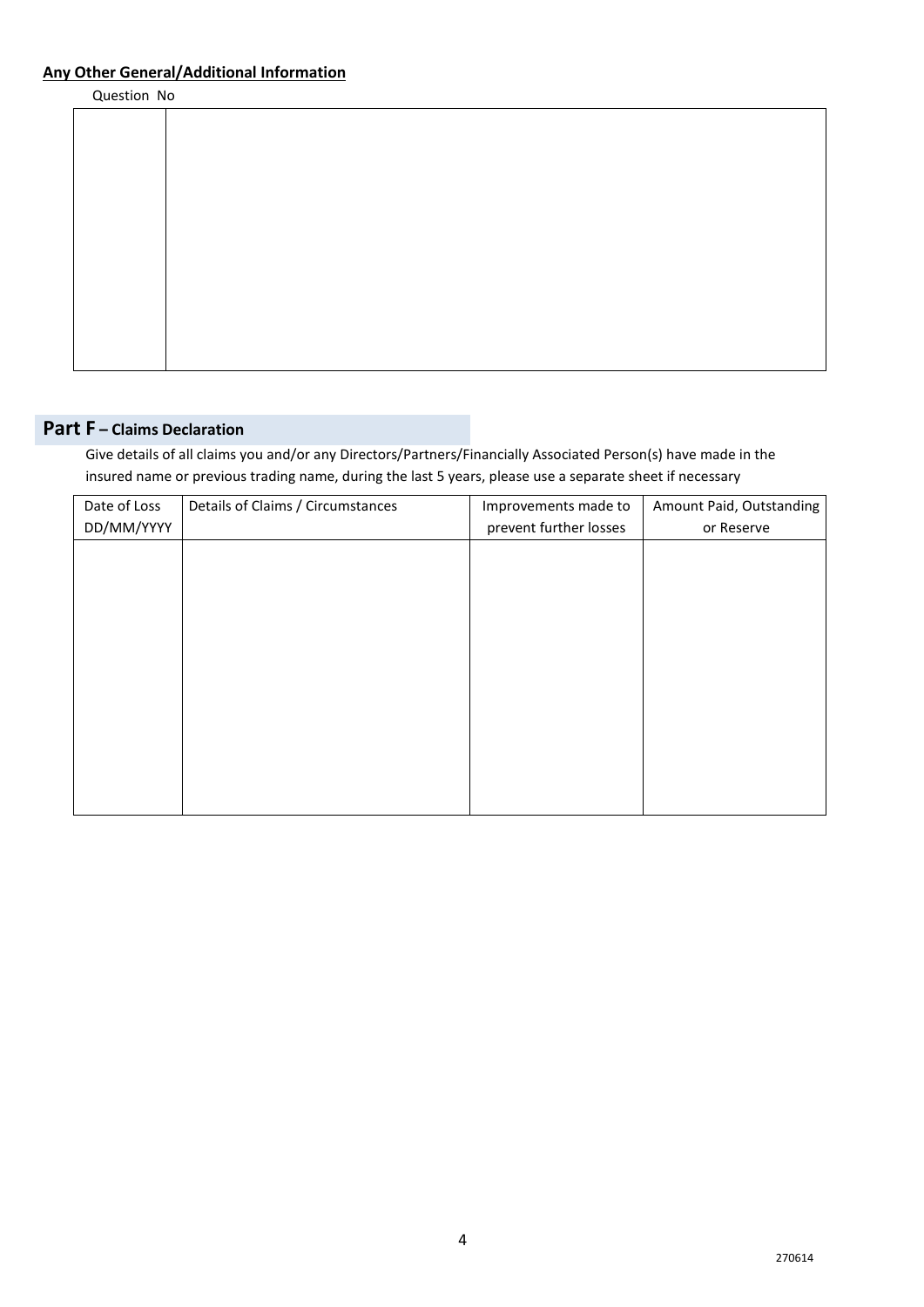## **Any Other General/Additional Information**

Question No

# **Part F – Claims Declaration**

Give details of all claims you and/or any Directors/Partners/Financially Associated Person(s) have made in the insured name or previous trading name, during the last 5 years, please use a separate sheet if necessary

| Date of Loss | Details of Claims / Circumstances | Improvements made to   | Amount Paid, Outstanding |
|--------------|-----------------------------------|------------------------|--------------------------|
| DD/MM/YYYY   |                                   | prevent further losses | or Reserve               |
|              |                                   |                        |                          |
|              |                                   |                        |                          |
|              |                                   |                        |                          |
|              |                                   |                        |                          |
|              |                                   |                        |                          |
|              |                                   |                        |                          |
|              |                                   |                        |                          |
|              |                                   |                        |                          |
|              |                                   |                        |                          |
|              |                                   |                        |                          |
|              |                                   |                        |                          |
|              |                                   |                        |                          |